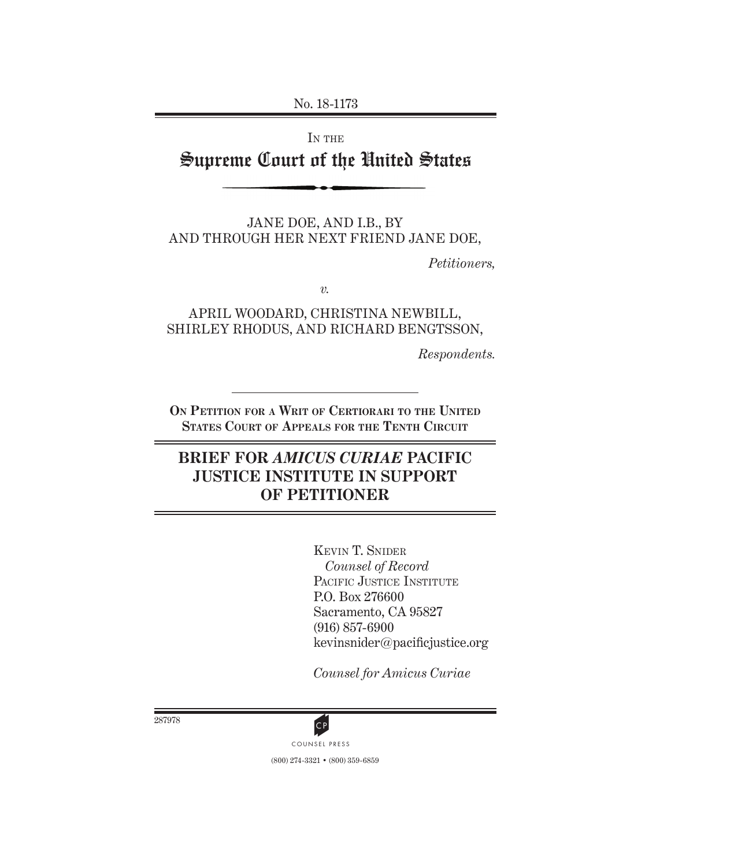No. 18-1173

# IN THE Supreme Court of the United States

JANE DOE, AND I.B., BY AND THROUGH HER NEXT FRIEND JANE DOE,

*Petitioners,*

*v.*

APRIL WOODARD, CHRISTINA NEWBILL, SHIRLEY RHODUS, AND RICHARD BENGTSSON,

*Respondents.*

**On Petition for a Writ of Certiorari to the United States Court of Appeals for the Tenth Circuit**

# **BRIEF FOR** *AMICUS CURIAE* **PACIFIC JUSTICE INSTITUTE IN SUPPORT OF PETITIONER**

Kevin T. Snider *Counsel of Record* PACIFIC JUSTICE INSTITUTE P.O. Box 276600 Sacramento, CA 95827 (916) 857-6900 kevinsnider@pacificjustice.org

*Counsel for Amicus Curiae*

287978



(800) 274-3321 • (800) 359-6859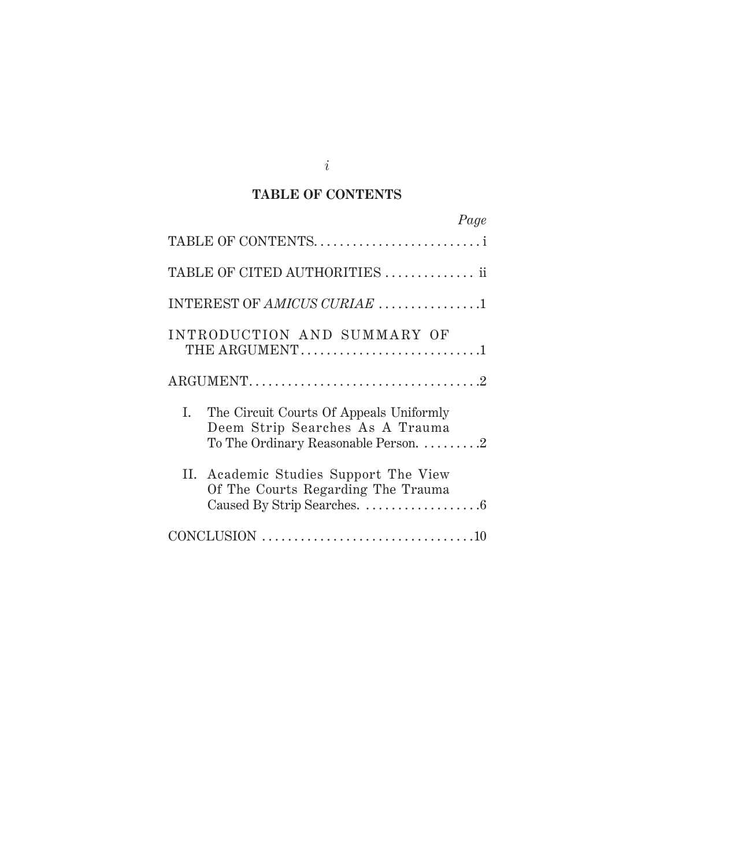### **TABLE OF CONTENTS**

| Page                                                                                                                  |
|-----------------------------------------------------------------------------------------------------------------------|
| TABLE OF CONTENTS                                                                                                     |
| TABLE OF CITED AUTHORITIES  ii                                                                                        |
| INTEREST OF AMICUS CURIAE 1                                                                                           |
| INTRODUCTION AND SUMMARY OF<br>THE ARGUMENT1                                                                          |
| $\text{ARGUMENT.}\dots\dots\dots\dots\dots\dots\dots\dots\dots\dots\dots2$                                            |
| I. The Circuit Courts Of Appeals Uniformly<br>Deem Strip Searches As A Trauma<br>To The Ordinary Reasonable Person. 2 |
| II. Academic Studies Support The View<br>Of The Courts Regarding The Trauma                                           |
|                                                                                                                       |

*i*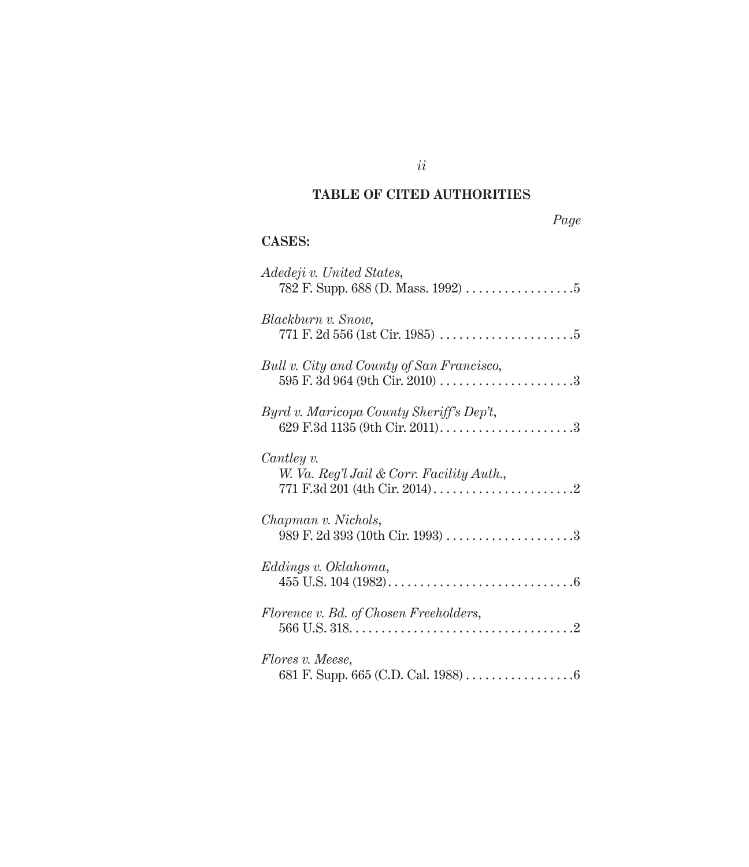### **TABLE OF CITED AUTHORITIES**

| ,,,, |
|------|
|------|

### **CASES:**

| Adedeji v. United States,                                                                                                            |
|--------------------------------------------------------------------------------------------------------------------------------------|
| Blackburn v. Snow,                                                                                                                   |
| Bull v. City and County of San Francisco,                                                                                            |
| Byrd v. Maricopa County Sheriff's Dep't,                                                                                             |
| Cantley v.<br>W. Va. Reg'l Jail & Corr. Facility Auth.,                                                                              |
| Chapman v. Nichols,<br>$989 \text{ F. } 2d \text{ } 393 \text{ (10th Cir. } 1993) \dots \dots \dots \dots \dots \dots \dots \dots 3$ |
| Eddings v. Oklahoma,                                                                                                                 |
| Florence v. Bd. of Chosen Freeholders,                                                                                               |
| Flores v. Meese,                                                                                                                     |

*ii*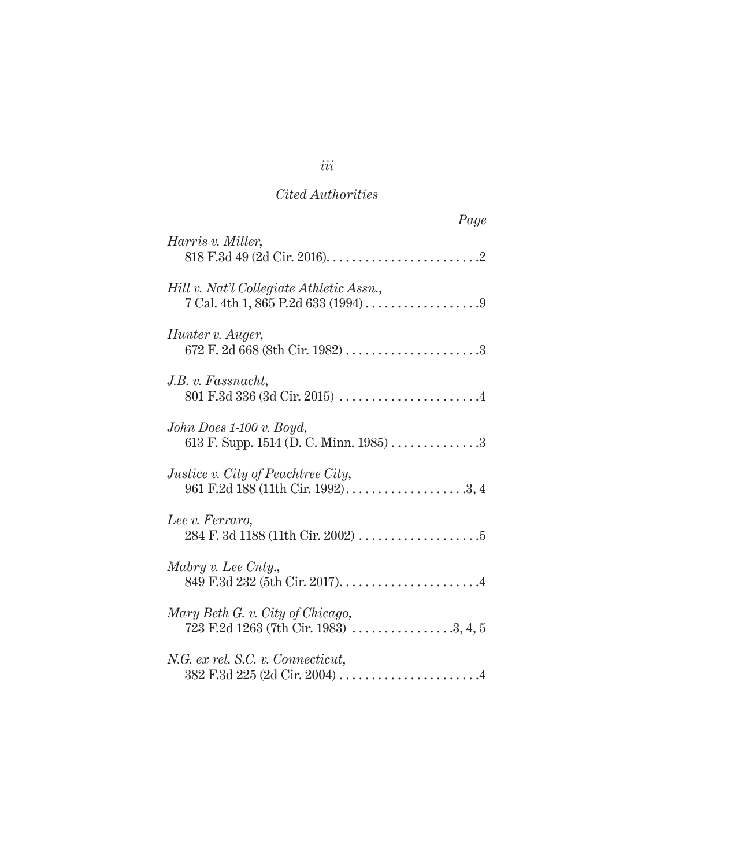### *Cited Authorities*

| Page                                                                                                                                   |
|----------------------------------------------------------------------------------------------------------------------------------------|
| Harris v. Miller,                                                                                                                      |
| Hill v. Nat'l Collegiate Athletic Assn.,                                                                                               |
| Hunter v. Auger,<br>672 F. 2d 668 (8th Cir. 1982) 3                                                                                    |
| J.B. v. Fassnacht,                                                                                                                     |
| John Does $1\n-100$ v. Boyd,<br>613 F. Supp. 1514 (D. C. Minn. 1985) 3                                                                 |
| <i>Justice v. City of Peachtree City,</i><br>961 F.2d 188 (11th Cir. 1992)3, 4                                                         |
| Lee v. Ferraro,                                                                                                                        |
| Mabry v. Lee Cnty.,                                                                                                                    |
| Mary Beth G. v. City of Chicago,<br>723 F.2d 1263 (7th Cir. 1983) $\dots \dots \dots \dots \dots 3, 4, 5$                              |
| N.G. ex rel. S.C. v. Connecticut.<br>$382 \text{ F.}3\text{d} 225 \text{ (2d Cir. } 2004) \dots \dots \dots \dots \dots \dots \dots 4$ |

*iii*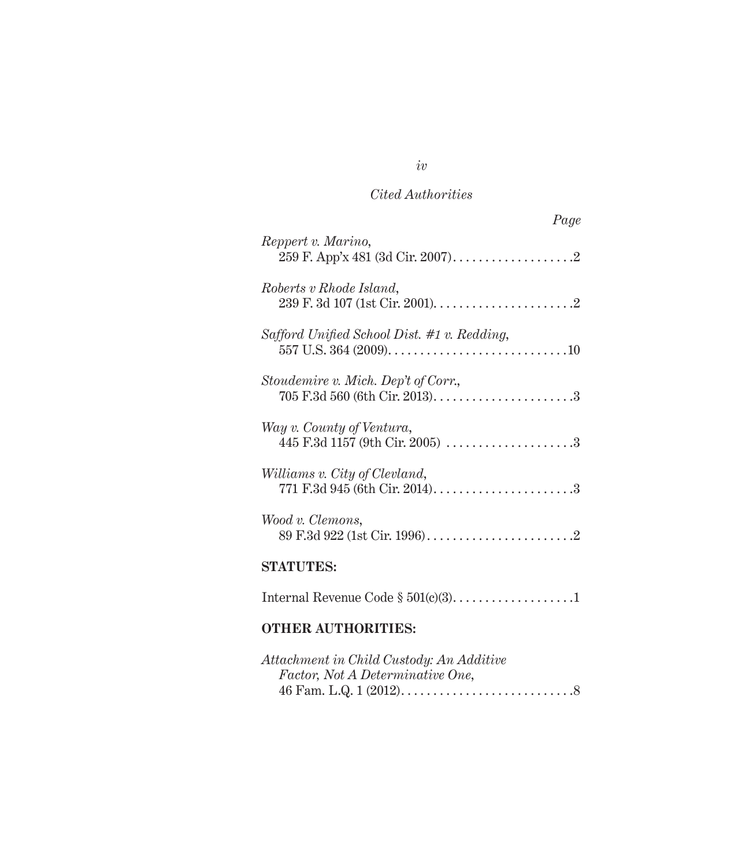## *Cited Authorities*

| Page                                                         |
|--------------------------------------------------------------|
| Reppert v. Marino,                                           |
| Roberts v Rhode Island,                                      |
| Safford Unified School Dist. #1 v. Redding,                  |
| Stoudemire v. Mich. Dep't of Corr.,                          |
| Way v. County of Ventura,<br>445 F.3d 1157 (9th Cir. 2005) 3 |
| Williams v. City of Clevland,                                |
| Wood v. Clemons,                                             |
| <b>STATUTES:</b>                                             |
|                                                              |

### **OTHER AUTHORITIES:**

| Attachment in Child Custody: An Additive |  |
|------------------------------------------|--|
| <i>Factor, Not A Determinative One,</i>  |  |
|                                          |  |

*iv*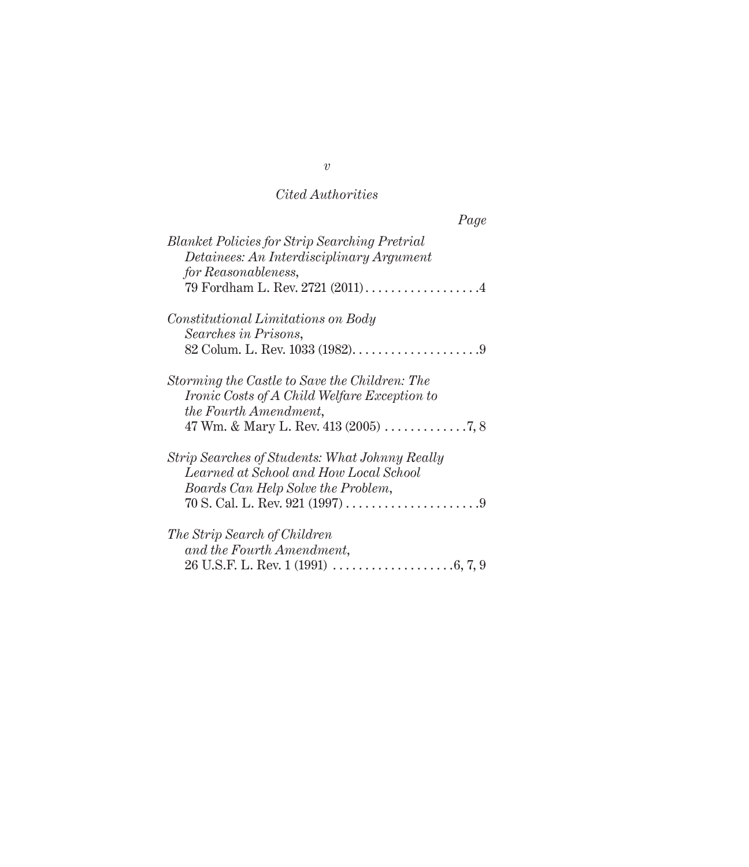### *Cited Authorities*

| Page                                                                       |
|----------------------------------------------------------------------------|
| <b>Blanket Policies for Strip Searching Pretrial</b>                       |
| Detainees: An Interdisciplinary Argument                                   |
| for Reasonableness,                                                        |
|                                                                            |
| Constitutional Limitations on Body                                         |
| Searches in Prisons,                                                       |
| 82 Colum. L. Rev. 1033 (1982). $\dots \dots \dots \dots \dots \dots \dots$ |
| Storming the Castle to Save the Children: The                              |
| <i>Ironic Costs of A Child Welfare Exception to</i>                        |
| the Fourth Amendment,                                                      |
|                                                                            |
| Strip Searches of Students: What Johnny Really                             |
| Learned at School and How Local School                                     |
| Boards Can Help Solve the Problem,                                         |
|                                                                            |
| The Strip Search of Children                                               |
| and the Fourth Amendment,                                                  |
|                                                                            |

*v*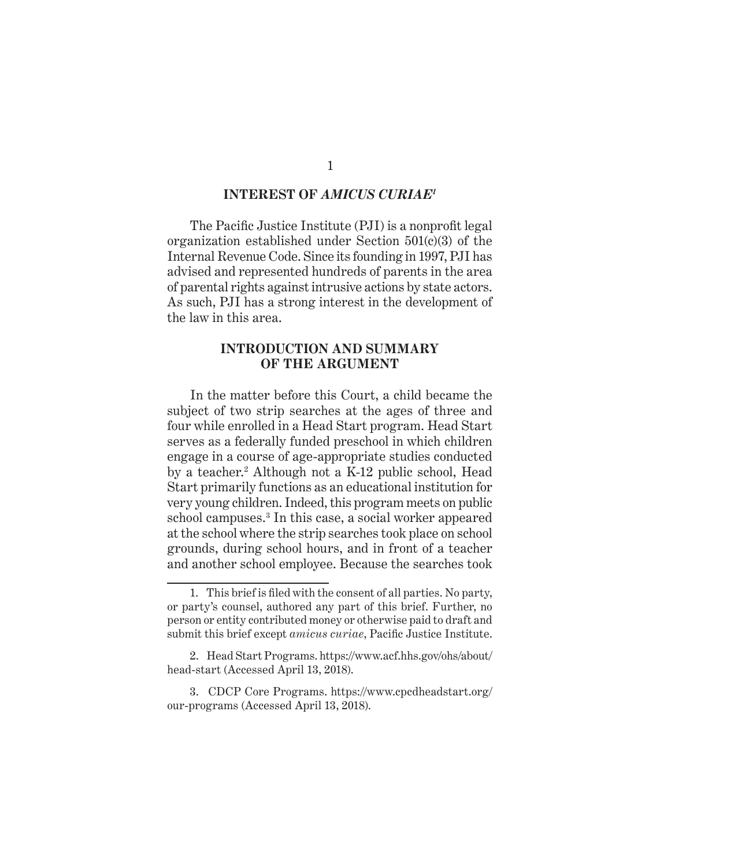#### **INTEREST OF** *AMICUS CURIAE1*

The Pacific Justice Institute (PJI) is a nonprofit legal organization established under Section 501(c)(3) of the Internal Revenue Code. Since its founding in 1997, PJI has advised and represented hundreds of parents in the area of parental rights against intrusive actions by state actors. As such, PJI has a strong interest in the development of the law in this area.

#### **INTRODUCTION AND SUMMARY OF THE ARGUMENT**

In the matter before this Court, a child became the subject of two strip searches at the ages of three and four while enrolled in a Head Start program. Head Start serves as a federally funded preschool in which children engage in a course of age-appropriate studies conducted by a teacher.<sup>2</sup> Although not a K-12 public school, Head Start primarily functions as an educational institution for very young children. Indeed, this program meets on public school campuses.<sup>3</sup> In this case, a social worker appeared at the school where the strip searches took place on school grounds, during school hours, and in front of a teacher and another school employee. Because the searches took

<sup>1.</sup> This brief is filed with the consent of all parties. No party, or party's counsel, authored any part of this brief. Further, no person or entity contributed money or otherwise paid to draft and submit this brief except *amicus curiae*, Pacific Justice Institute.

<sup>2.</sup> Head Start Programs. https://www.acf.hhs.gov/ohs/about/ head-start (Accessed April 13, 2018).

<sup>3.</sup> CDCP Core Programs. https://www.cpcdheadstart.org/ our-programs (Accessed April 13, 2018).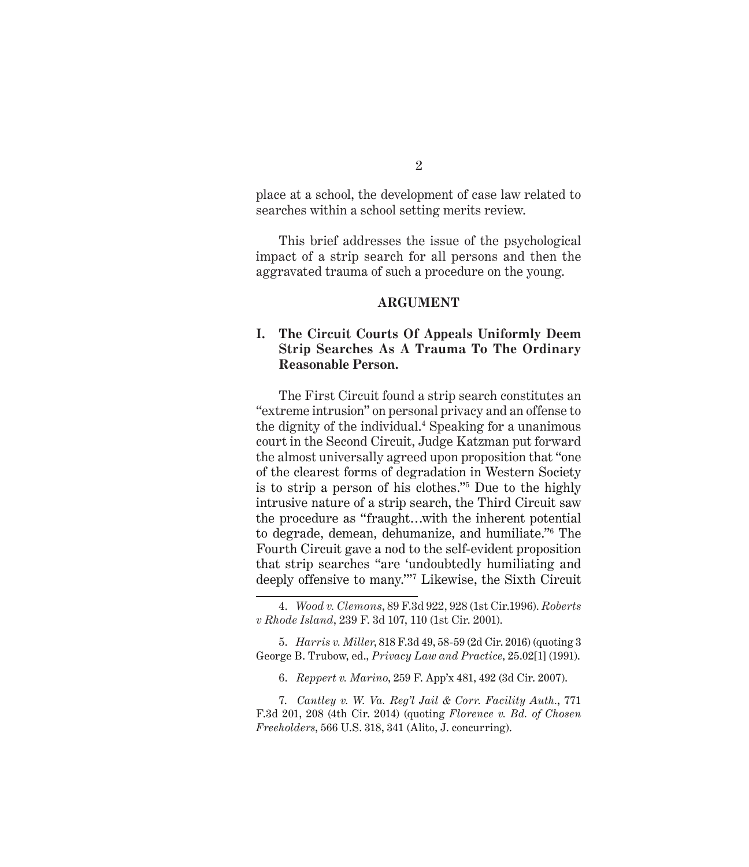place at a school, the development of case law related to searches within a school setting merits review.

This brief addresses the issue of the psychological impact of a strip search for all persons and then the aggravated trauma of such a procedure on the young.

#### **ARGUMENT**

#### **I. The Circuit Courts Of Appeals Uniformly Deem Strip Searches As A Trauma To The Ordinary Reasonable Person.**

The First Circuit found a strip search constitutes an "extreme intrusion" on personal privacy and an offense to the dignity of the individual.<sup>4</sup> Speaking for a unanimous court in the Second Circuit, Judge Katzman put forward the almost universally agreed upon proposition that "one of the clearest forms of degradation in Western Society is to strip a person of his clothes."5 Due to the highly intrusive nature of a strip search, the Third Circuit saw the procedure as "fraught…with the inherent potential to degrade, demean, dehumanize, and humiliate."6 The Fourth Circuit gave a nod to the self-evident proposition that strip searches "are 'undoubtedly humiliating and deeply offensive to many.'"<sup>7</sup> Likewise, the Sixth Circuit

6. *Reppert v. Marino*, 259 F. App'x 481, 492 (3d Cir. 2007).

7. *Cantley v. W. Va. Reg'l Jail & Corr. Facility Auth.*, 771 F.3d 201, 208 (4th Cir. 2014) (quoting *Florence v. Bd. of Chosen Freeholders*, 566 U.S. 318, 341 (Alito, J. concurring).

<sup>4.</sup> *Wood v. Clemons*, 89 F.3d 922, 928 (1st Cir.1996). *Roberts v Rhode Island*, 239 F. 3d 107, 110 (1st Cir. 2001).

<sup>5.</sup> *Harris v. Miller*, 818 F.3d 49, 58-59 (2d Cir. 2016) (quoting 3 George B. Trubow, ed., *Privacy Law and Practice*, 25.02[1] (1991).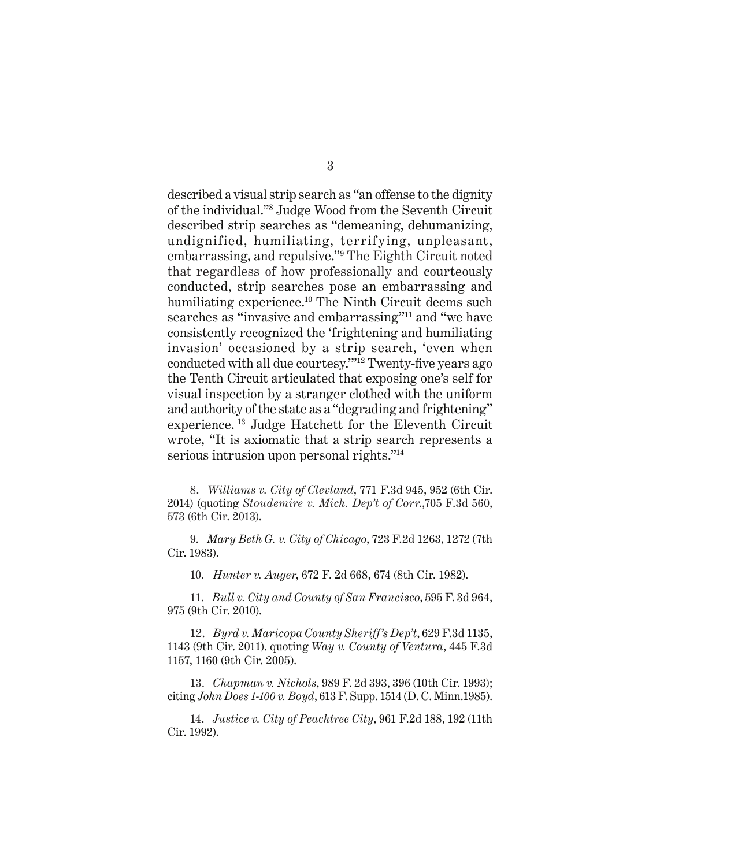described a visual strip search as "an offense to the dignity of the individual."<sup>8</sup> Judge Wood from the Seventh Circuit described strip searches as "demeaning, dehumanizing, undignified, humiliating, terrifying, unpleasant, embarrassing, and repulsive."9 The Eighth Circuit noted that regardless of how professionally and courteously conducted, strip searches pose an embarrassing and humiliating experience.<sup>10</sup> The Ninth Circuit deems such searches as "invasive and embarrassing"<sup>11</sup> and "we have consistently recognized the 'frightening and humiliating invasion' occasioned by a strip search, 'even when conducted with all due courtesy.'"12 Twenty-five years ago the Tenth Circuit articulated that exposing one's self for visual inspection by a stranger clothed with the uniform and authority of the state as a "degrading and frightening" experience. <sup>13</sup> Judge Hatchett for the Eleventh Circuit wrote, "It is axiomatic that a strip search represents a serious intrusion upon personal rights."<sup>14</sup>

9. *Mary Beth G. v. City of Chicago*, 723 F.2d 1263, 1272 (7th Cir. 1983).

10. *Hunter v. Auger*, 672 F. 2d 668, 674 (8th Cir. 1982).

11. *Bull v. City and County of San Francisco*, 595 F. 3d 964, 975 (9th Cir. 2010).

12. *Byrd v. Maricopa County Sheriff's Dep't*, 629 F.3d 1135, 1143 (9th Cir. 2011). quoting *Way v. County of Ventura*, 445 F.3d 1157, 1160 (9th Cir. 2005).

13. *Chapman v. Nichols*, 989 F. 2d 393, 396 (10th Cir. 1993); citing *John Does 1-100 v. Boyd*, 613 F. Supp. 1514 (D. C. Minn.1985).

14. *Justice v. City of Peachtree City*, 961 F.2d 188, 192 (11th Cir. 1992).

<sup>8.</sup> *Williams v. City of Clevland*, 771 F.3d 945, 952 (6th Cir. 2014) (quoting *Stoudemire v. Mich. Dep't of Corr*.,705 F.3d 560, 573 (6th Cir. 2013).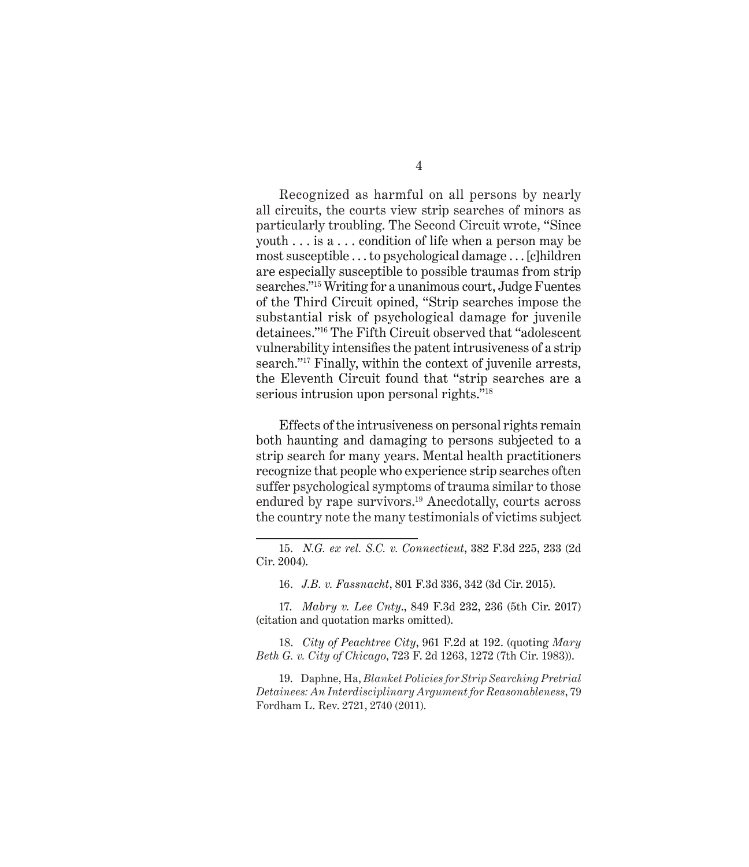Recognized as harmful on all persons by nearly all circuits, the courts view strip searches of minors as particularly troubling. The Second Circuit wrote, "Since youth . . . is a . . . condition of life when a person may be most susceptible . . . to psychological damage . . . [c]hildren are especially susceptible to possible traumas from strip searches."15 Writing for a unanimous court, Judge Fuentes of the Third Circuit opined, "Strip searches impose the substantial risk of psychological damage for juvenile detainees."16 The Fifth Circuit observed that "adolescent vulnerability intensifies the patent intrusiveness of a strip search."<sup>17</sup> Finally, within the context of juvenile arrests, the Eleventh Circuit found that "strip searches are a serious intrusion upon personal rights."<sup>18</sup>

Effects of the intrusiveness on personal rights remain both haunting and damaging to persons subjected to a strip search for many years. Mental health practitioners recognize that people who experience strip searches often suffer psychological symptoms of trauma similar to those endured by rape survivors.<sup>19</sup> Anecdotally, courts across the country note the many testimonials of victims subject

16. *J.B. v. Fassnacht*, 801 F.3d 336, 342 (3d Cir. 2015).

17. *Mabry v. Lee Cnty*., 849 F.3d 232, 236 (5th Cir. 2017) (citation and quotation marks omitted).

18. *City of Peachtree City*, 961 F.2d at 192. (quoting *Mary Beth G. v. City of Chicago*, 723 F. 2d 1263, 1272 (7th Cir. 1983)).

19. Daphne, Ha, *Blanket Policies for Strip Searching Pretrial Detainees: An Interdisciplinary Argument for Reasonableness*, 79 Fordham L. Rev. 2721, 2740 (2011).

<sup>15.</sup> *N.G. ex rel. S.C. v. Connecticut*, 382 F.3d 225, 233 (2d Cir. 2004).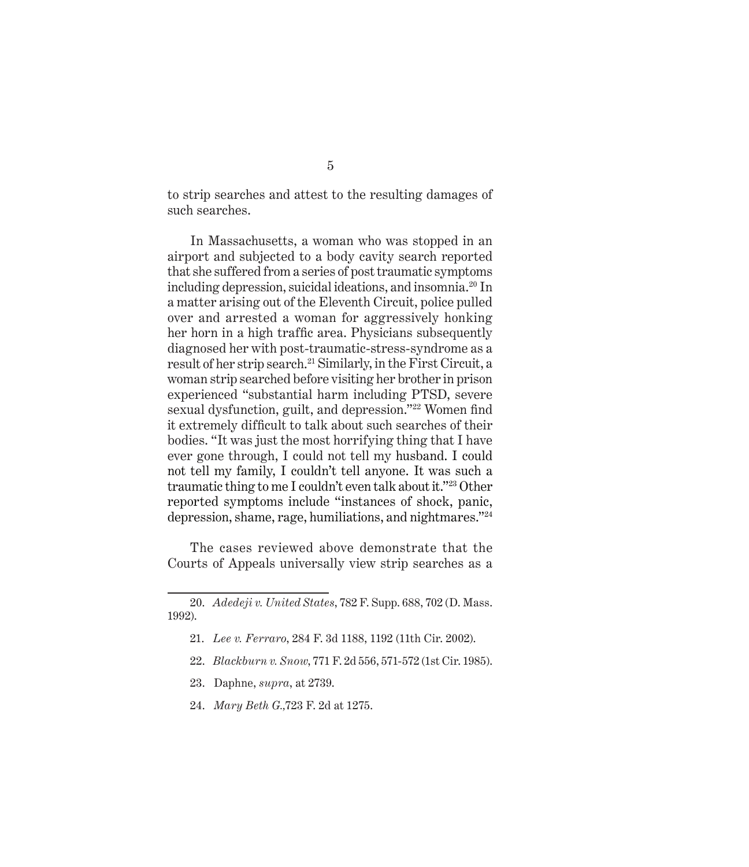to strip searches and attest to the resulting damages of such searches.

In Massachusetts, a woman who was stopped in an airport and subjected to a body cavity search reported that she suffered from a series of post traumatic symptoms including depression, suicidal ideations, and insomnia.20 In a matter arising out of the Eleventh Circuit, police pulled over and arrested a woman for aggressively honking her horn in a high traffic area. Physicians subsequently diagnosed her with post-traumatic-stress-syndrome as a result of her strip search.<sup>21</sup> Similarly, in the First Circuit, a woman strip searched before visiting her brother in prison experienced "substantial harm including PTSD, severe sexual dysfunction, guilt, and depression."22 Women find it extremely difficult to talk about such searches of their bodies. "It was just the most horrifying thing that I have ever gone through, I could not tell my husband. I could not tell my family, I couldn't tell anyone. It was such a traumatic thing to me I couldn't even talk about it."23 Other reported symptoms include "instances of shock, panic, depression, shame, rage, humiliations, and nightmares."<sup>24</sup>

The cases reviewed above demonstrate that the Courts of Appeals universally view strip searches as a

- 21. *Lee v. Ferraro*, 284 F. 3d 1188, 1192 (11th Cir. 2002).
- 22. *Blackburn v. Snow*, 771 F. 2d 556, 571-572 (1st Cir. 1985).
- 23. Daphne, *supra*, at 2739.
- 24. *Mary Beth G.,*723 F. 2d at 1275.

<sup>20.</sup> *Adedeji v. United States*, 782 F. Supp. 688, 702 (D. Mass. 1992).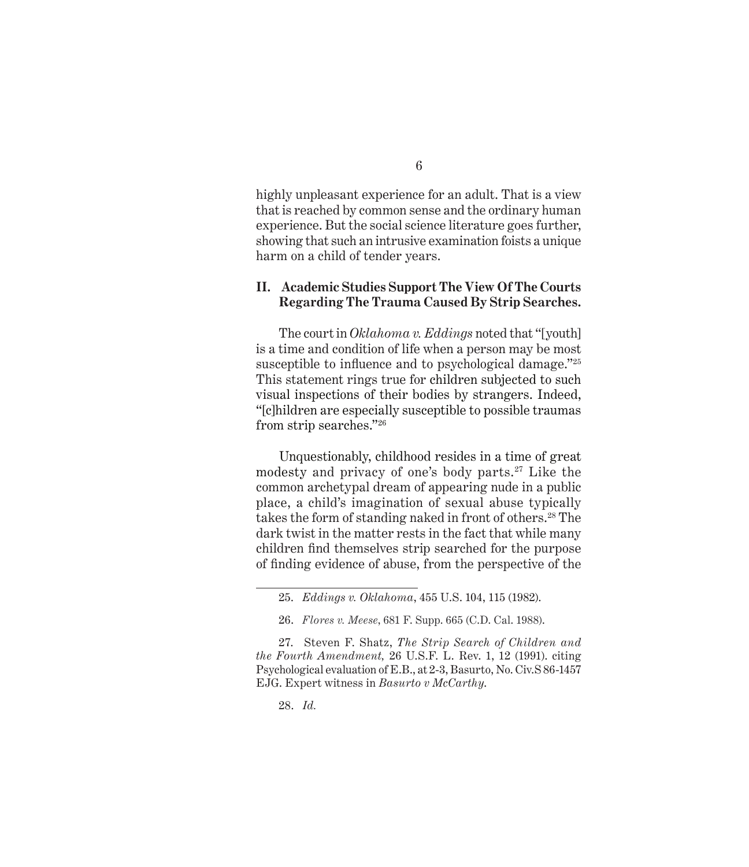highly unpleasant experience for an adult. That is a view that is reached by common sense and the ordinary human experience. But the social science literature goes further, showing that such an intrusive examination foists a unique harm on a child of tender years.

#### **II. Academic Studies Support The View Of The Courts Regarding The Trauma Caused By Strip Searches.**

The court in *Oklahoma v. Eddings* noted that "[youth] is a time and condition of life when a person may be most susceptible to influence and to psychological damage."<sup>25</sup> This statement rings true for children subjected to such visual inspections of their bodies by strangers. Indeed, "[c]hildren are especially susceptible to possible traumas from strip searches."26

Unquestionably, childhood resides in a time of great modesty and privacy of one's body parts.27 Like the common archetypal dream of appearing nude in a public place, a child's imagination of sexual abuse typically takes the form of standing naked in front of others.28 The dark twist in the matter rests in the fact that while many children find themselves strip searched for the purpose of finding evidence of abuse, from the perspective of the

28. *Id.*

<sup>25.</sup> *Eddings v. Oklahoma*, 455 U.S. 104, 115 (1982).

<sup>26.</sup> *Flores v. Meese*, 681 F. Supp. 665 (C.D. Cal. 1988).

<sup>27.</sup> Steven F. Shatz, *The Strip Search of Children and the Fourth Amendment,* 26 U.S.F. L. Rev. 1, 12 (1991). citing Psychological evaluation of E.B., at 2-3, Basurto, No. Civ.S 86-1457 EJG. Expert witness in *Basurto v McCarthy*.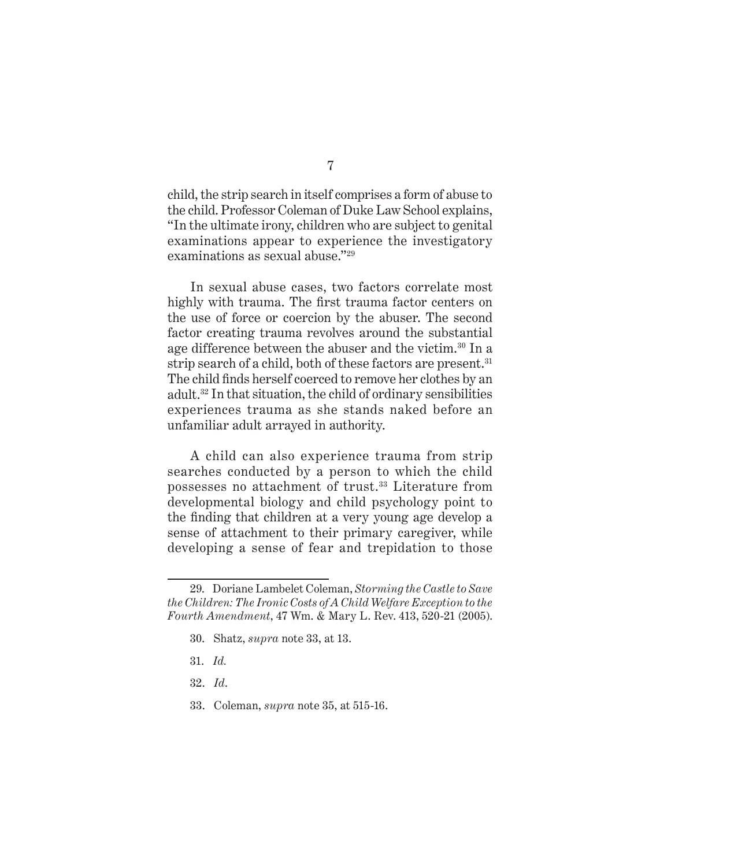child, the strip search in itself comprises a form of abuse to the child. Professor Coleman of Duke Law School explains, "In the ultimate irony, children who are subject to genital examinations appear to experience the investigatory examinations as sexual abuse."29

In sexual abuse cases, two factors correlate most highly with trauma. The first trauma factor centers on the use of force or coercion by the abuser. The second factor creating trauma revolves around the substantial age difference between the abuser and the victim.<sup>30</sup> In a strip search of a child, both of these factors are present.<sup>31</sup> The child finds herself coerced to remove her clothes by an adult.32 In that situation, the child of ordinary sensibilities experiences trauma as she stands naked before an unfamiliar adult arrayed in authority.

A child can also experience trauma from strip searches conducted by a person to which the child possesses no attachment of trust.33 Literature from developmental biology and child psychology point to the finding that children at a very young age develop a sense of attachment to their primary caregiver, while developing a sense of fear and trepidation to those

- 30. Shatz, *supra* note 33, at 13.
- 31. *Id.*
- 32. *Id*.
- 33. Coleman, *supra* note 35, at 515-16.

<sup>29.</sup> Doriane Lambelet Coleman, *Storming the Castle to Save the Children: The Ironic Costs of A Child Welfare Exception to the Fourth Amendment*, 47 Wm. & Mary L. Rev. 413, 520-21 (2005).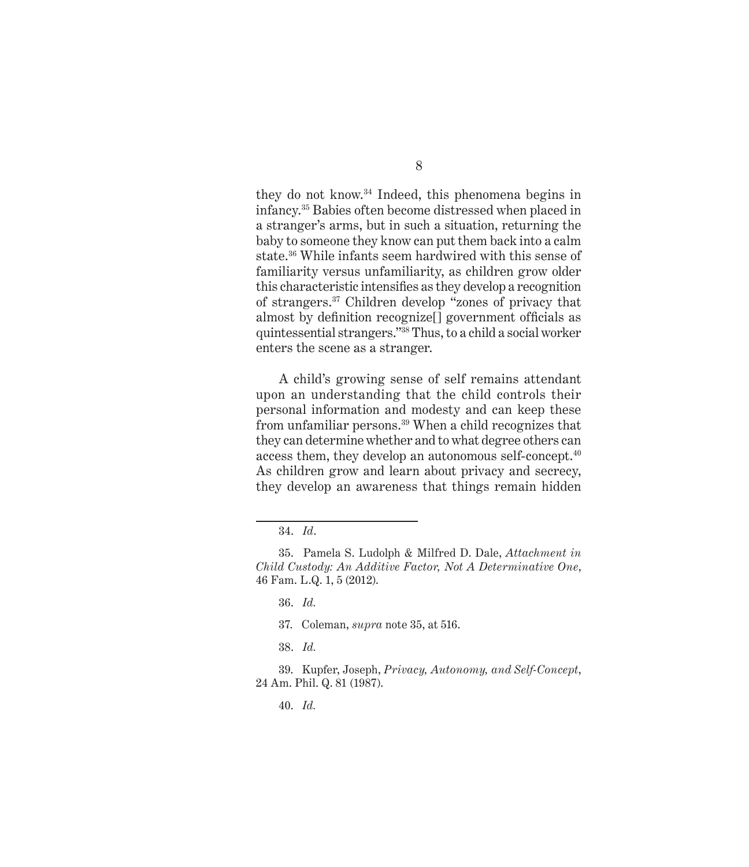they do not know.34 Indeed, this phenomena begins in infancy.35 Babies often become distressed when placed in a stranger's arms, but in such a situation, returning the baby to someone they know can put them back into a calm state.36 While infants seem hardwired with this sense of familiarity versus unfamiliarity, as children grow older this characteristic intensifies as they develop a recognition of strangers.37 Children develop "zones of privacy that almost by definition recognize[] government officials as quintessential strangers."38 Thus, to a child a social worker enters the scene as a stranger.

A child's growing sense of self remains attendant upon an understanding that the child controls their personal information and modesty and can keep these from unfamiliar persons.39 When a child recognizes that they can determine whether and to what degree others can access them, they develop an autonomous self-concept.<sup>40</sup> As children grow and learn about privacy and secrecy, they develop an awareness that things remain hidden

<sup>34.</sup> *Id*.

<sup>35.</sup> Pamela S. Ludolph & Milfred D. Dale, *Attachment in Child Custody: An Additive Factor, Not A Determinative One*, 46 Fam. L.Q. 1, 5 (2012).

<sup>36.</sup> *Id.*

<sup>37.</sup> Coleman, *supra* note 35, at 516.

<sup>38.</sup> *Id.*

<sup>39.</sup> Kupfer, Joseph, *Privacy, Autonomy, and Self-Concept*, 24 Am. Phil. Q. 81 (1987).

<sup>40.</sup> *Id.*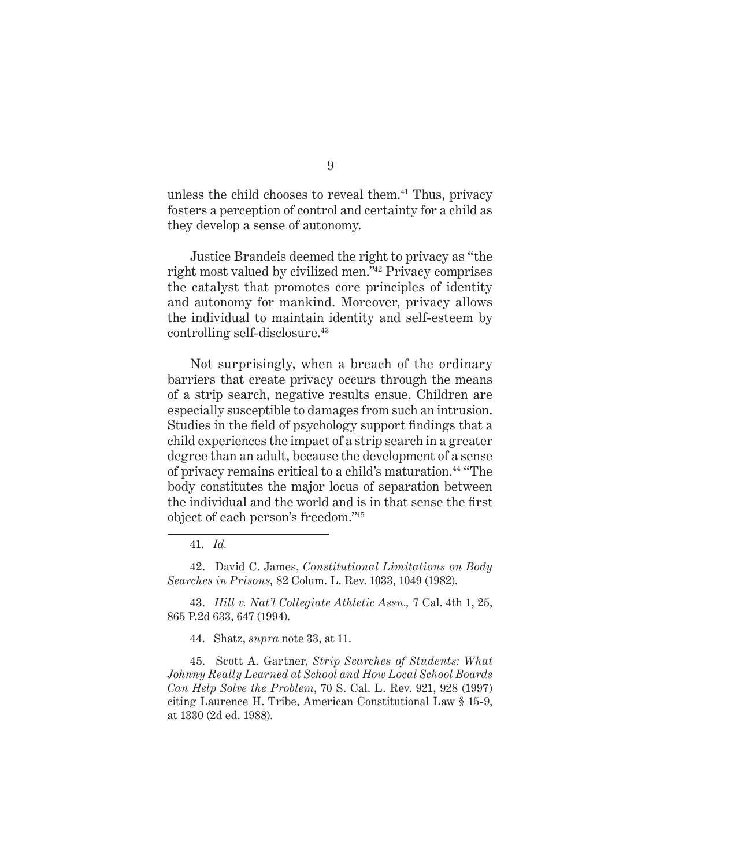unless the child chooses to reveal them.<sup>41</sup> Thus, privacy fosters a perception of control and certainty for a child as they develop a sense of autonomy.

Justice Brandeis deemed the right to privacy as "the right most valued by civilized men."42 Privacy comprises the catalyst that promotes core principles of identity and autonomy for mankind. Moreover, privacy allows the individual to maintain identity and self-esteem by controlling self-disclosure.<sup>43</sup>

Not surprisingly, when a breach of the ordinary barriers that create privacy occurs through the means of a strip search, negative results ensue. Children are especially susceptible to damages from such an intrusion. Studies in the field of psychology support findings that a child experiences the impact of a strip search in a greater degree than an adult, because the development of a sense of privacy remains critical to a child's maturation.44 "The body constitutes the major locus of separation between the individual and the world and is in that sense the first object of each person's freedom."45

42. David C. James, *Constitutional Limitations on Body Searches in Prisons,* 82 Colum. L. Rev. 1033, 1049 (1982).

43. *Hill v. Nat'l Collegiate Athletic Assn.,* 7 Cal. 4th 1, 25, 865 P.2d 633, 647 (1994).

44. Shatz, *supra* note 33, at 11.

45. Scott A. Gartner, *Strip Searches of Students: What Johnny Really Learned at School and How Local School Boards Can Help Solve the Problem*, 70 S. Cal. L. Rev. 921, 928 (1997) citing Laurence H. Tribe, American Constitutional Law § 15-9, at 1330 (2d ed. 1988).

<sup>41.</sup> *Id.*